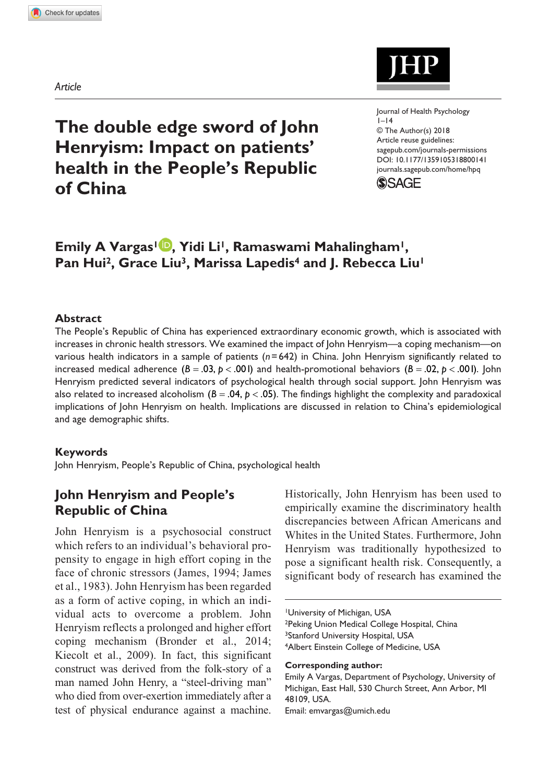*Article*



https://doi.org/10.1177/1359105318800141 DOI: 10.1177/1359105318800141 Journal of Health Psychology  $I-14$ © The Author(s) 2018 Article reuse guidelines: [sagepub.com/journals-permissions](https://uk.sagepub.com/en-gb/journals-permissions) [journals.sagepub.com/home/hpq](https://journals.sagepub.com/home/hpq)



# **Emily A Vargas1 , Yidi Li1, Ramaswami Mahalingham1,**  Pan Hui<sup>2</sup>, Grace Liu<sup>3</sup>, Marissa Lapedis<sup>4</sup> and J. Rebecca Liu<sup>1</sup>

### **Abstract**

The People's Republic of China has experienced extraordinary economic growth, which is associated with increases in chronic health stressors. We examined the impact of John Henryism—a coping mechanism—on various health indicators in a sample of patients (*n*=642) in China. John Henryism significantly related to increased medical adherence  $(B = .03, p < .001)$  and health-promotional behaviors  $(B = .02, p < .001)$ . John Henryism predicted several indicators of psychological health through social support. John Henryism was also related to increased alcoholism  $(B = .04, p < .05)$ . The findings highlight the complexity and paradoxical implications of John Henryism on health. Implications are discussed in relation to China's epidemiological and age demographic shifts.

### **Keywords**

John Henryism, People's Republic of China, psychological health

# **John Henryism and People's Republic of China**

John Henryism is a psychosocial construct which refers to an individual's behavioral propensity to engage in high effort coping in the face of chronic stressors (James, 1994; James et al., 1983). John Henryism has been regarded as a form of active coping, in which an individual acts to overcome a problem. John Henryism reflects a prolonged and higher effort coping mechanism (Bronder et al., 2014; Kiecolt et al., 2009). In fact, this significant construct was derived from the folk-story of a man named John Henry, a "steel-driving man" who died from over-exertion immediately after a test of physical endurance against a machine.

Historically, John Henryism has been used to empirically examine the discriminatory health discrepancies between African Americans and Whites in the United States. Furthermore, John Henryism was traditionally hypothesized to pose a significant health risk. Consequently, a significant body of research has examined the

1University of Michigan, USA

2Peking Union Medical College Hospital, China 3Stanford University Hospital, USA

4Albert Einstein College of Medicine, USA

**Corresponding author:**

Emily A Vargas, Department of Psychology, University of Michigan, East Hall, 530 Church Street, Ann Arbor, MI 48109, USA. Email: [emvargas@umich.edu](mailto:emvargas@umich.edu)

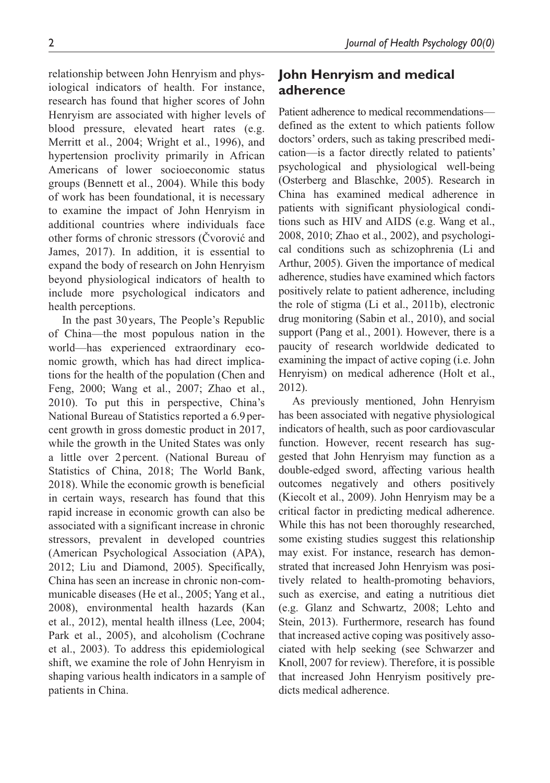relationship between John Henryism and physiological indicators of health. For instance, research has found that higher scores of John Henryism are associated with higher levels of blood pressure, elevated heart rates (e.g. Merritt et al., 2004; Wright et al., 1996), and hypertension proclivity primarily in African Americans of lower socioeconomic status groups (Bennett et al., 2004). While this body of work has been foundational, it is necessary to examine the impact of John Henryism in additional countries where individuals face other forms of chronic stressors (Čvorović and James, 2017). In addition, it is essential to expand the body of research on John Henryism beyond physiological indicators of health to include more psychological indicators and health perceptions.

In the past 30 years, The People's Republic of China—the most populous nation in the world—has experienced extraordinary economic growth, which has had direct implications for the health of the population (Chen and Feng, 2000; Wang et al., 2007; Zhao et al., 2010). To put this in perspective, China's National Bureau of Statistics reported a 6.9 percent growth in gross domestic product in 2017, while the growth in the United States was only a little over 2percent. (National Bureau of Statistics of China, 2018; The World Bank, 2018). While the economic growth is beneficial in certain ways, research has found that this rapid increase in economic growth can also be associated with a significant increase in chronic stressors, prevalent in developed countries (American Psychological Association (APA), 2012; Liu and Diamond, 2005). Specifically, China has seen an increase in chronic non-communicable diseases (He et al., 2005; Yang et al., 2008), environmental health hazards (Kan et al., 2012), mental health illness (Lee, 2004; Park et al., 2005), and alcoholism (Cochrane et al., 2003). To address this epidemiological shift, we examine the role of John Henryism in shaping various health indicators in a sample of patients in China.

## **John Henryism and medical adherence**

Patient adherence to medical recommendations defined as the extent to which patients follow doctors' orders, such as taking prescribed medication—is a factor directly related to patients' psychological and physiological well-being (Osterberg and Blaschke, 2005). Research in China has examined medical adherence in patients with significant physiological conditions such as HIV and AIDS (e.g. Wang et al., 2008, 2010; Zhao et al., 2002), and psychological conditions such as schizophrenia (Li and Arthur, 2005). Given the importance of medical adherence, studies have examined which factors positively relate to patient adherence, including the role of stigma (Li et al., 2011b), electronic drug monitoring (Sabin et al., 2010), and social support (Pang et al., 2001). However, there is a paucity of research worldwide dedicated to examining the impact of active coping (i.e. John Henryism) on medical adherence (Holt et al., 2012).

As previously mentioned, John Henryism has been associated with negative physiological indicators of health, such as poor cardiovascular function. However, recent research has suggested that John Henryism may function as a double-edged sword, affecting various health outcomes negatively and others positively (Kiecolt et al., 2009). John Henryism may be a critical factor in predicting medical adherence. While this has not been thoroughly researched, some existing studies suggest this relationship may exist. For instance, research has demonstrated that increased John Henryism was positively related to health-promoting behaviors, such as exercise, and eating a nutritious diet (e.g. Glanz and Schwartz, 2008; Lehto and Stein, 2013). Furthermore, research has found that increased active coping was positively associated with help seeking (see Schwarzer and Knoll, 2007 for review). Therefore, it is possible that increased John Henryism positively predicts medical adherence.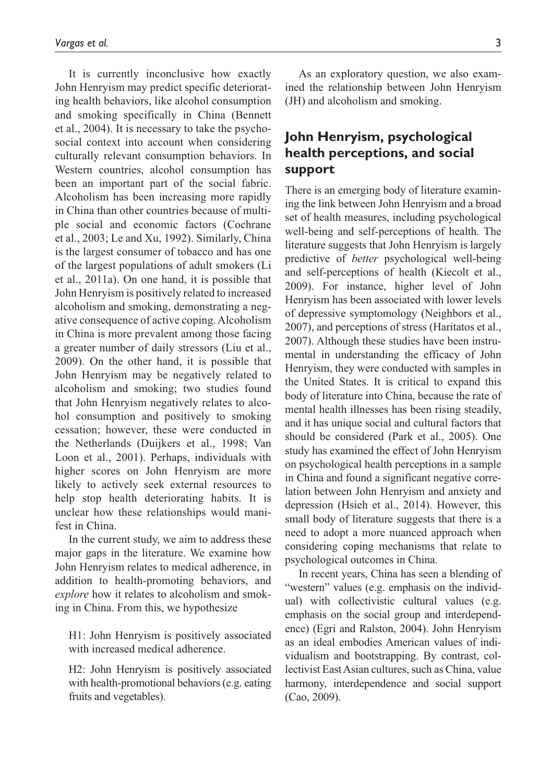It is currently inconclusive how exactly John Henryism may predict specific deteriorating health behaviors, like alcohol consumption and smoking specifically in China (Bennett et al., 2004). It is necessary to take the psychosocial context into account when considering culturally relevant consumption behaviors. In Western countries, alcohol consumption has been an important part of the social fabric. Alcoholism has been increasing more rapidly in China than other countries because of multiple social and economic factors (Cochrane et al., 2003; Le and Xu, 1992). Similarly, China is the largest consumer of tobacco and has one of the largest populations of adult smokers (Li et al., 2011a). On one hand, it is possible that John Henryism is positively related to increased alcoholism and smoking, demonstrating a negative consequence of active coping. Alcoholism in China is more prevalent among those facing a greater number of daily stressors (Liu et al., 2009). On the other hand, it is possible that John Henryism may be negatively related to alcoholism and smoking; two studies found that John Henryism negatively relates to alcohol consumption and positively to smoking cessation; however, these were conducted in the Netherlands (Duijkers et al., 1998; Van Loon et al., 2001). Perhaps, individuals with higher scores on John Henryism are more likely to actively seek external resources to help stop health deteriorating habits. It is unclear how these relationships would manifest in China.

In the current study, we aim to address these major gaps in the literature. We examine how John Henryism relates to medical adherence, in addition to health-promoting behaviors, and *explore* how it relates to alcoholism and smoking in China. From this, we hypothesize

H1: John Henryism is positively associated with increased medical adherence.

H2: John Henryism is positively associated with health-promotional behaviors (e.g. eating fruits and vegetables).

As an exploratory question, we also examined the relationship between John Henryism (JH) and alcoholism and smoking.

# **John Henryism, psychological health perceptions, and social support**

There is an emerging body of literature examining the link between John Henryism and a broad set of health measures, including psychological well-being and self-perceptions of health. The literature suggests that John Henryism is largely predictive of *better* psychological well-being and self-perceptions of health (Kiecolt et al., 2009). For instance, higher level of John Henryism has been associated with lower levels of depressive symptomology (Neighbors et al., 2007), and perceptions of stress (Haritatos et al., 2007). Although these studies have been instrumental in understanding the efficacy of John Henryism, they were conducted with samples in the United States. It is critical to expand this body of literature into China, because the rate of mental health illnesses has been rising steadily, and it has unique social and cultural factors that should be considered (Park et al., 2005). One study has examined the effect of John Henryism on psychological health perceptions in a sample in China and found a significant negative correlation between John Henryism and anxiety and depression (Hsieh et al., 2014). However, this small body of literature suggests that there is a need to adopt a more nuanced approach when considering coping mechanisms that relate to psychological outcomes in China.

In recent years, China has seen a blending of "western" values (e.g. emphasis on the individual) with collectivistic cultural values (e.g. emphasis on the social group and interdependence) (Egri and Ralston, 2004). John Henryism as an ideal embodies American values of individualism and bootstrapping. By contrast, collectivist East Asian cultures, such as China, value harmony, interdependence and social support (Cao, 2009).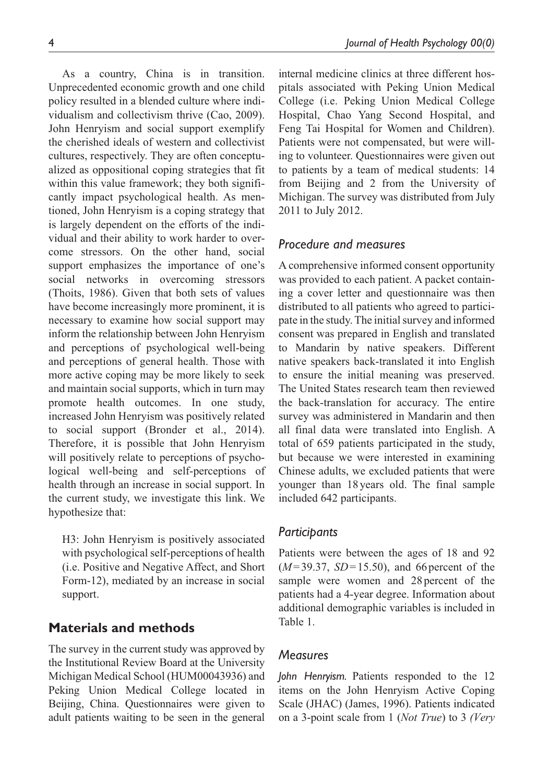As a country, China is in transition. Unprecedented economic growth and one child policy resulted in a blended culture where individualism and collectivism thrive (Cao, 2009). John Henryism and social support exemplify the cherished ideals of western and collectivist cultures, respectively. They are often conceptualized as oppositional coping strategies that fit within this value framework; they both significantly impact psychological health. As mentioned, John Henryism is a coping strategy that is largely dependent on the efforts of the individual and their ability to work harder to overcome stressors. On the other hand, social support emphasizes the importance of one's social networks in overcoming stressors (Thoits, 1986). Given that both sets of values have become increasingly more prominent, it is necessary to examine how social support may inform the relationship between John Henryism and perceptions of psychological well-being and perceptions of general health. Those with more active coping may be more likely to seek and maintain social supports, which in turn may promote health outcomes. In one study, increased John Henryism was positively related to social support (Bronder et al., 2014). Therefore, it is possible that John Henryism will positively relate to perceptions of psychological well-being and self-perceptions of health through an increase in social support. In the current study, we investigate this link. We hypothesize that:

H3: John Henryism is positively associated with psychological self-perceptions of health (i.e. Positive and Negative Affect, and Short Form-12), mediated by an increase in social support.

### **Materials and methods**

The survey in the current study was approved by the Institutional Review Board at the University Michigan Medical School (HUM00043936) and Peking Union Medical College located in Beijing, China. Questionnaires were given to adult patients waiting to be seen in the general

internal medicine clinics at three different hospitals associated with Peking Union Medical College (i.e. Peking Union Medical College Hospital, Chao Yang Second Hospital, and Feng Tai Hospital for Women and Children). Patients were not compensated, but were willing to volunteer. Questionnaires were given out to patients by a team of medical students: 14 from Beijing and 2 from the University of Michigan. The survey was distributed from July 2011 to July 2012.

### *Procedure and measures*

A comprehensive informed consent opportunity was provided to each patient. A packet containing a cover letter and questionnaire was then distributed to all patients who agreed to participate in the study. The initial survey and informed consent was prepared in English and translated to Mandarin by native speakers. Different native speakers back-translated it into English to ensure the initial meaning was preserved. The United States research team then reviewed the back-translation for accuracy. The entire survey was administered in Mandarin and then all final data were translated into English. A total of 659 patients participated in the study, but because we were interested in examining Chinese adults, we excluded patients that were younger than 18years old. The final sample included 642 participants.

### *Participants*

Patients were between the ages of 18 and 92  $(M=39.37, SD=15.50)$ , and 66 percent of the sample were women and 28percent of the patients had a 4-year degree. Information about additional demographic variables is included in Table 1.

### *Measures*

*John Henryism.* Patients responded to the 12 items on the John Henryism Active Coping Scale (JHAC) (James, 1996). Patients indicated on a 3-point scale from 1 (*Not True*) to 3 *(Very*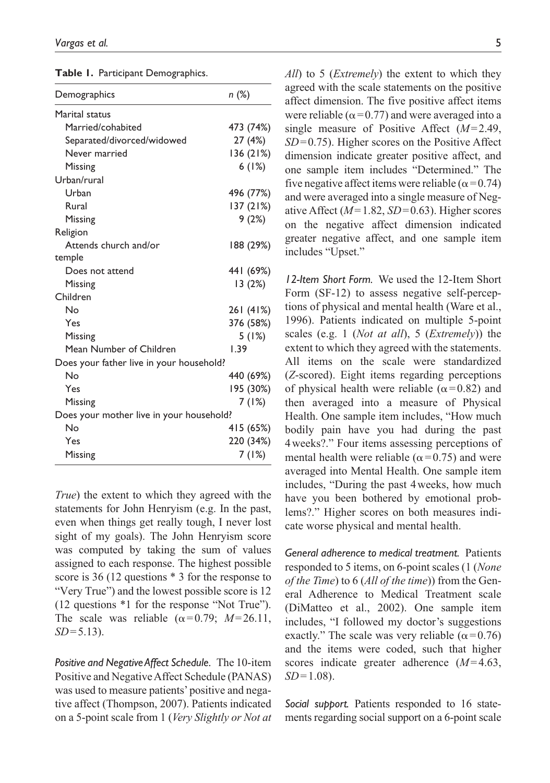|  |  | Table 1. Participant Demographics. |
|--|--|------------------------------------|
|--|--|------------------------------------|

| Demographics                             | n (%)     |
|------------------------------------------|-----------|
| Marital status                           |           |
| Married/cohabited                        | 473 (74%) |
| Separated/divorced/widowed               | 27 (4%)   |
| Never married                            | 136(21%)  |
| Missing                                  | 6(1%)     |
| Urban/rural                              |           |
| Urban                                    | 496 (77%) |
| Rural                                    | 137 (21%) |
| Missing                                  | 9(2%)     |
| Religion                                 |           |
| Attends church and/or                    | 188 (29%) |
| temple                                   |           |
| Does not attend                          | 441 (69%) |
| Missing                                  | 13(2%)    |
| Children                                 |           |
| Nο                                       | 261 (41%) |
| Yes                                      | 376 (58%) |
| Missing                                  | 5(1%)     |
| Mean Number of Children                  | 1.39      |
| Does your father live in your household? |           |
| Nο                                       | 440 (69%) |
| Yes                                      | 195 (30%) |
| Missing                                  | 7 (1%)    |
| Does your mother live in your household? |           |
| No                                       | 415 (65%) |
| Yes                                      | 220 (34%) |
| Missing                                  | 7(1%)     |

*True*) the extent to which they agreed with the statements for John Henryism (e.g. In the past, even when things get really tough, I never lost sight of my goals). The John Henryism score was computed by taking the sum of values assigned to each response. The highest possible score is 36 (12 questions \* 3 for the response to "Very True") and the lowest possible score is 12 (12 questions \*1 for the response "Not True"). The scale was reliable  $(\alpha=0.79; M=26.11,$ *SD*=5.13).

*Positive and Negative Affect Schedule.* The 10-item Positive and Negative Affect Schedule (PANAS) was used to measure patients' positive and negative affect (Thompson, 2007). Patients indicated on a 5-point scale from 1 (*Very Slightly or Not at*  *All*) to 5 (*Extremely*) the extent to which they agreed with the scale statements on the positive affect dimension. The five positive affect items were reliable ( $\alpha$ =0.77) and were averaged into a single measure of Positive Affect (*M*=2.49, *SD*=0.75). Higher scores on the Positive Affect dimension indicate greater positive affect, and one sample item includes "Determined." The five negative affect items were reliable ( $\alpha$ =0.74) and were averaged into a single measure of Negative Affect (*M*=1.82, *SD*=0.63). Higher scores on the negative affect dimension indicated greater negative affect, and one sample item includes "Upset."

*12-Item Short Form.* We used the 12-Item Short Form (SF-12) to assess negative self-perceptions of physical and mental health (Ware et al., 1996). Patients indicated on multiple 5-point scales (e.g. 1 (*Not at all*), 5 (*Extremely*)) the extent to which they agreed with the statements. All items on the scale were standardized (*Z*-scored). Eight items regarding perceptions of physical health were reliable ( $\alpha$ =0.82) and then averaged into a measure of Physical Health. One sample item includes, "How much bodily pain have you had during the past 4weeks?." Four items assessing perceptions of mental health were reliable ( $\alpha$ =0.75) and were averaged into Mental Health. One sample item includes, "During the past 4weeks, how much have you been bothered by emotional problems?." Higher scores on both measures indicate worse physical and mental health.

*General adherence to medical treatment.* Patients responded to 5 items, on 6-point scales (1 (*None of the Time*) to 6 (*All of the time*)) from the General Adherence to Medical Treatment scale (DiMatteo et al., 2002). One sample item includes, "I followed my doctor's suggestions exactly." The scale was very reliable ( $\alpha$ =0.76) and the items were coded, such that higher scores indicate greater adherence (*M*=4.63, *SD*=1.08).

*Social support.* Patients responded to 16 statements regarding social support on a 6-point scale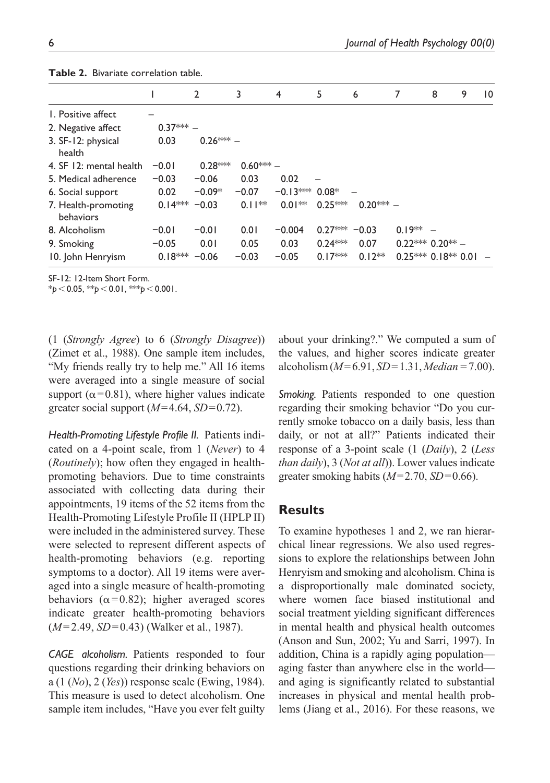|                                  |           | $\mathbf{2}$ | 3         | 4                | 5               | 6           |            | 9<br>8              | $\overline{10}$ |
|----------------------------------|-----------|--------------|-----------|------------------|-----------------|-------------|------------|---------------------|-----------------|
| 1. Positive affect               |           |              |           |                  |                 |             |            |                     |                 |
| 2. Negative affect               | $0.37***$ |              |           |                  |                 |             |            |                     |                 |
| 3. SF-12: physical<br>health     | 0.03      | $0.26*** -$  |           |                  |                 |             |            |                     |                 |
| 4. SF 12: mental health          | $-0.01$   | $0.28***$    | $0.60***$ |                  |                 |             |            |                     |                 |
| 5. Medical adherence             | $-0.03$   | $-0.06$      | 0.03      | 0.02             |                 |             |            |                     |                 |
| 6. Social support                | 0.02      | $-0.09*$     | $-0.07$   | $-0.13***$ 0.08* |                 |             |            |                     |                 |
| 7. Health-promoting<br>behaviors | $0.14***$ | $-0.03$      | $0.11**$  | $0.01**$         | $0.25***$       | $0.20***$ – |            |                     |                 |
| 8. Alcoholism                    | $-0.01$   | $-0.01$      | 0.01      | $-0.004$         | $0.27*** -0.03$ |             | $0.19** -$ |                     |                 |
| 9. Smoking                       | $-0.05$   | 0.01         | 0.05      | 0.03             | $0.24***$       | 0.07        |            | $0.22***0.20**$     |                 |
| 10. John Henryism                | $0.18***$ | $-0.06$      | $-0.03$   | $-0.05$          | $0.17***$       | $0.12**$    |            | $0.25***0.18**0.01$ |                 |

**Table 2.** Bivariate correlation table.

SF-12: 12-Item Short Form.

\**p*<0.05, \*\**p*<0.01, \*\*\**p*<0.001.

(1 (*Strongly Agree*) to 6 (*Strongly Disagree*)) (Zimet et al., 1988). One sample item includes, "My friends really try to help me." All 16 items were averaged into a single measure of social support ( $\alpha$ =0.81), where higher values indicate greater social support  $(M=4.64, SD=0.72)$ .

*Health-Promoting Lifestyle Profile II.* Patients indicated on a 4-point scale, from 1 (*Never*) to 4 (*Routinely*); how often they engaged in healthpromoting behaviors. Due to time constraints associated with collecting data during their appointments, 19 items of the 52 items from the Health-Promoting Lifestyle Profile II (HPLP II) were included in the administered survey. These were selected to represent different aspects of health-promoting behaviors (e.g. reporting symptoms to a doctor). All 19 items were averaged into a single measure of health-promoting behaviors ( $\alpha$ =0.82); higher averaged scores indicate greater health-promoting behaviors (*M*=2.49, *SD*=0.43) (Walker et al., 1987).

*CAGE alcoholism.* Patients responded to four questions regarding their drinking behaviors on a (1 (*No*), 2 (*Yes*)) response scale (Ewing, 1984). This measure is used to detect alcoholism. One sample item includes, "Have you ever felt guilty about your drinking?." We computed a sum of the values, and higher scores indicate greater alcoholism (*M*=6.91, *SD*=1.31, *Median=*7.00).

*Smoking.* Patients responded to one question regarding their smoking behavior "Do you currently smoke tobacco on a daily basis, less than daily, or not at all?" Patients indicated their response of a 3-point scale (1 (*Daily*), 2 (*Less than daily*), 3 (*Not at all*)). Lower values indicate greater smoking habits (*M*=2.70, *SD*=0.66).

## **Results**

To examine hypotheses 1 and 2, we ran hierarchical linear regressions. We also used regressions to explore the relationships between John Henryism and smoking and alcoholism. China is a disproportionally male dominated society, where women face biased institutional and social treatment yielding significant differences in mental health and physical health outcomes (Anson and Sun, 2002; Yu and Sarri, 1997). In addition, China is a rapidly aging population aging faster than anywhere else in the world and aging is significantly related to substantial increases in physical and mental health problems (Jiang et al., 2016). For these reasons, we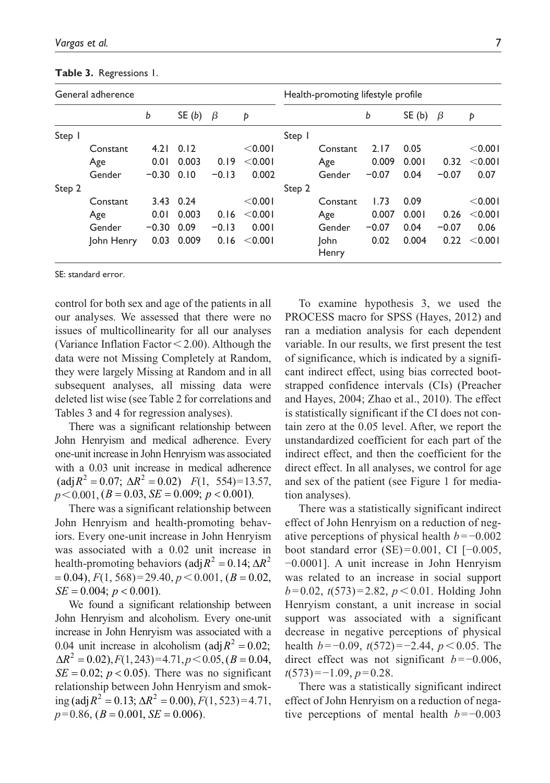| General adherence |            |         |           |         |          | Health-promoting lifestyle profile |               |         |       |         |          |
|-------------------|------------|---------|-----------|---------|----------|------------------------------------|---------------|---------|-------|---------|----------|
|                   |            | b       | SE(b)     | β       | Þ        |                                    |               | b       | SE(b) | β       | Þ        |
| Step              |            |         |           |         |          | Step 1                             |               |         |       |         |          |
|                   | Constant   | 4.21    | 0.12      |         | $<$ 0.00 |                                    | Constant      | 2.17    | 0.05  |         | < 0.001  |
|                   | Age        | 0.01    | 0.003     | 0.19    | < 0.001  |                                    | Age           | 0.009   | 0.001 | 0.32    | < 0.001  |
|                   | Gender     | $-0.30$ | 0.10      | $-0.13$ | 0.002    |                                    | Gender        | $-0.07$ | 0.04  | $-0.07$ | 0.07     |
| Step 2            |            |         |           |         |          | Step 2                             |               |         |       |         |          |
|                   | Constant   |         | 3.43 0.24 |         | < 0.001  |                                    | Constant      | 1.73    | 0.09  |         | < 0.001  |
|                   | Age        | 0.01    | 0.003     | 0.16    | < 0.001  |                                    | Age           | 0.007   | 0.001 | 0.26    | $<$ 0.00 |
|                   | Gender     | $-0.30$ | 0.09      | $-0.13$ | 0.001    |                                    | Gender        | $-0.07$ | 0.04  | $-0.07$ | 0.06     |
|                   | John Henry | 0.03    | 0.009     | 0.16    | $<$ 0.00 |                                    | lohn<br>Henry | 0.02    | 0.004 | 0.22    | < 0.001  |

#### **Table 3.** Regressions 1.

SE: standard error.

control for both sex and age of the patients in all our analyses. We assessed that there were no issues of multicollinearity for all our analyses (Variance Inflation Factor  $\leq$  2.00). Although the data were not Missing Completely at Random, they were largely Missing at Random and in all subsequent analyses, all missing data were deleted list wise (see Table 2 for correlations and Tables 3 and 4 for regression analyses).

There was a significant relationship between John Henryism and medical adherence. Every one-unit increase in John Henryism was associated with a 0.03 unit increase in medical adherence  $\text{(adj } R^2 = 0.07; \ \Delta R^2 = 0.02 \text{)}$   $F(1, 554) = 13.57,$  $p < 0.001$ ,  $(B = 0.03, SE = 0.009; p < 0.001)$ .

There was a significant relationship between John Henryism and health-promoting behaviors. Every one-unit increase in John Henryism was associated with a 0.02 unit increase in health-promoting behaviors (adj $R^2 = 0.14$ ;  $\Delta R^2$  $\Gamma = 0.04$ ,  $F(1, 568) = 29.40, p < 0.001, (B = 0.02,$  $SE = 0.004$ ;  $p < 0.001$ ).

We found a significant relationship between John Henryism and alcoholism. Every one-unit increase in John Henryism was associated with a 0.04 unit increase in alcoholism ( $\text{adj } R^2 = 0.02$ ;  $\Delta R^2 = 0.02$ ,  $F(1, 243) = 4.71$ ,  $p \le 0.05$ ,  $(B = 0.04$ ,  $SE = 0.02$ ;  $p < 0.05$ ). There was no significant relationship between John Henryism and smoking (adj $R^2 = 0.13$ ;  $\Delta R^2 = 0.00$ ),  $F(1, 523) = 4.71$ ,  $p=0.86$ ,  $(B = 0.001, SE = 0.006)$ .

To examine hypothesis 3, we used the PROCESS macro for SPSS (Hayes, 2012) and ran a mediation analysis for each dependent variable. In our results, we first present the test of significance, which is indicated by a significant indirect effect, using bias corrected bootstrapped confidence intervals (CIs) (Preacher and Hayes, 2004; Zhao et al., 2010). The effect is statistically significant if the CI does not contain zero at the 0.05 level. After, we report the unstandardized coefficient for each part of the indirect effect, and then the coefficient for the direct effect. In all analyses, we control for age and sex of the patient (see Figure 1 for mediation analyses).

There was a statistically significant indirect effect of John Henryism on a reduction of negative perceptions of physical health *b*=−0.002 boot standard error  $(SE)=0.001$ , CI  $[-0.005,$ −0.0001]. A unit increase in John Henryism was related to an increase in social support  $b=0.02$ ,  $t(573)=2.82$ ,  $p < 0.01$ . Holding John Henryism constant, a unit increase in social support was associated with a significant decrease in negative perceptions of physical health *b*=−0.09, *t*(572)=−2.44, *p*<0.05. The direct effect was not significant *b*=−0.006, *t*(573)=−1.09, *p*=0.28.

There was a statistically significant indirect effect of John Henryism on a reduction of negative perceptions of mental health *b*=−0.003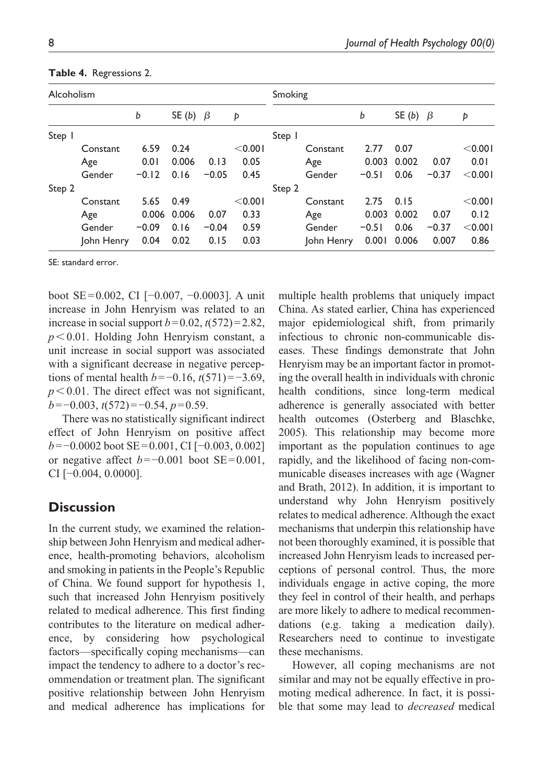| Alcoholism |            |         |                |         | Smoking |        |            |         |                |         |         |
|------------|------------|---------|----------------|---------|---------|--------|------------|---------|----------------|---------|---------|
|            |            | b       | SE (b) $\beta$ |         | Þ       |        |            | b       | SE (b) $\beta$ |         | Þ       |
| Step       |            |         |                |         |         | Step   |            |         |                |         |         |
|            | Constant   | 6.59    | 0.24           |         | < 0.001 |        | Constant   | 2.77    | 0.07           |         | < 0.001 |
|            | Age        | 0.01    | 0.006          | 0.13    | 0.05    |        | Age        | 0.003   | 0.002          | 0.07    | 0.01    |
|            | Gender     | $-0.12$ | 0.16           | $-0.05$ | 0.45    |        | Gender     | $-0.51$ | 0.06           | $-0.37$ | < 0.001 |
| Step 2     |            |         |                |         |         | Step 2 |            |         |                |         |         |
|            | Constant   | 5.65    | 0.49           |         | < 0.001 |        | Constant   | 2.75    | 0.15           |         | < 0.001 |
|            | Age        | 0.006   | 0.006          | 0.07    | 0.33    |        | Age        | 0.003   | 0.002          | 0.07    | 0.12    |
|            | Gender     | $-0.09$ | 0.16           | $-0.04$ | 0.59    |        | Gender     | $-0.51$ | 0.06           | $-0.37$ | < 0.001 |
|            | John Henry | 0.04    | 0.02           | 0.15    | 0.03    |        | John Henry | 0.001   | 0.006          | 0.007   | 0.86    |

**Table 4.** Regressions 2.

SE: standard error.

boot SE=0.002, CI [−0.007, −0.0003]. A unit increase in John Henryism was related to an increase in social support  $b=0.02$ ,  $t(572)=2.82$ , *p*<0.01. Holding John Henryism constant, a unit increase in social support was associated with a significant decrease in negative perceptions of mental health *b*=−0.16, *t*(571)=−3.69,  $p < 0.01$ . The direct effect was not significant, *b*=−0.003, *t*(572)=−0.54, *p*=0.59.

There was no statistically significant indirect effect of John Henryism on positive affect *b*=−0.0002 boot SE=0.001, CI [−0.003, 0.002] or negative affect *b*=−0.001 boot SE=0.001, CI [−0.004, 0.0000].

## **Discussion**

In the current study, we examined the relationship between John Henryism and medical adherence, health-promoting behaviors, alcoholism and smoking in patients in the People's Republic of China. We found support for hypothesis 1, such that increased John Henryism positively related to medical adherence. This first finding contributes to the literature on medical adherence, by considering how psychological factors—specifically coping mechanisms—can impact the tendency to adhere to a doctor's recommendation or treatment plan. The significant positive relationship between John Henryism and medical adherence has implications for

multiple health problems that uniquely impact China. As stated earlier, China has experienced major epidemiological shift, from primarily infectious to chronic non-communicable diseases. These findings demonstrate that John Henryism may be an important factor in promoting the overall health in individuals with chronic health conditions, since long-term medical adherence is generally associated with better health outcomes (Osterberg and Blaschke, 2005). This relationship may become more important as the population continues to age rapidly, and the likelihood of facing non-communicable diseases increases with age (Wagner and Brath, 2012). In addition, it is important to understand why John Henryism positively relates to medical adherence. Although the exact mechanisms that underpin this relationship have not been thoroughly examined, it is possible that increased John Henryism leads to increased perceptions of personal control. Thus, the more individuals engage in active coping, the more they feel in control of their health, and perhaps are more likely to adhere to medical recommendations (e.g. taking a medication daily). Researchers need to continue to investigate these mechanisms.

However, all coping mechanisms are not similar and may not be equally effective in promoting medical adherence. In fact, it is possible that some may lead to *decreased* medical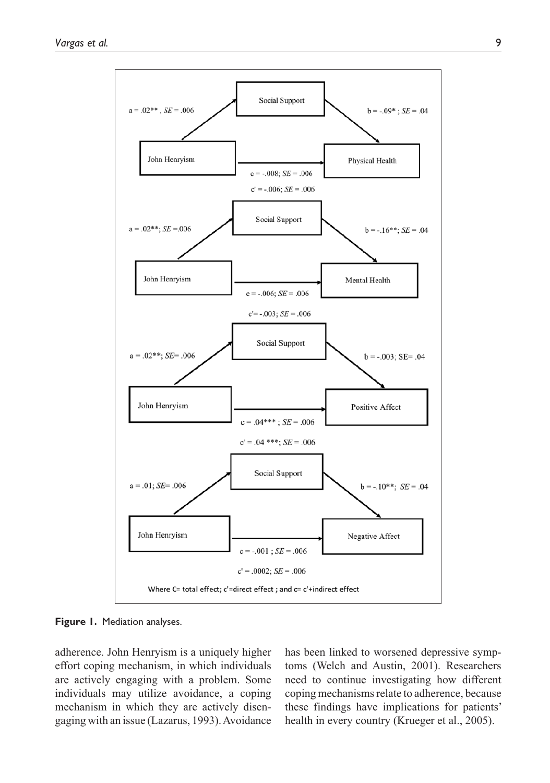

**Figure 1.** Mediation analyses.

adherence. John Henryism is a uniquely higher effort coping mechanism, in which individuals are actively engaging with a problem. Some individuals may utilize avoidance, a coping mechanism in which they are actively disengaging with an issue (Lazarus, 1993). Avoidance

has been linked to worsened depressive symptoms (Welch and Austin, 2001). Researchers need to continue investigating how different coping mechanisms relate to adherence, because these findings have implications for patients' health in every country (Krueger et al., 2005).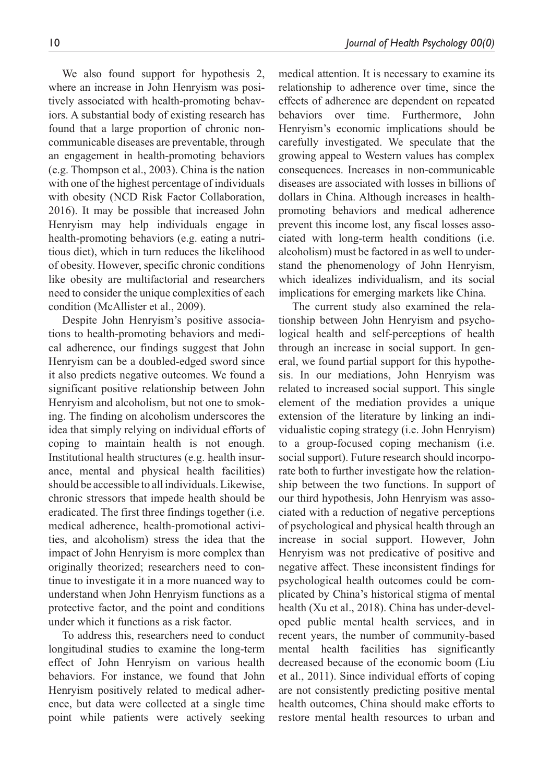We also found support for hypothesis 2, where an increase in John Henryism was positively associated with health-promoting behaviors. A substantial body of existing research has found that a large proportion of chronic noncommunicable diseases are preventable, through an engagement in health-promoting behaviors (e.g. Thompson et al., 2003). China is the nation with one of the highest percentage of individuals with obesity (NCD Risk Factor Collaboration, 2016). It may be possible that increased John Henryism may help individuals engage in health-promoting behaviors (e.g. eating a nutritious diet), which in turn reduces the likelihood of obesity. However, specific chronic conditions like obesity are multifactorial and researchers need to consider the unique complexities of each condition (McAllister et al., 2009).

Despite John Henryism's positive associations to health-promoting behaviors and medical adherence, our findings suggest that John Henryism can be a doubled-edged sword since it also predicts negative outcomes. We found a significant positive relationship between John Henryism and alcoholism, but not one to smoking. The finding on alcoholism underscores the idea that simply relying on individual efforts of coping to maintain health is not enough. Institutional health structures (e.g. health insurance, mental and physical health facilities) should be accessible to all individuals. Likewise, chronic stressors that impede health should be eradicated. The first three findings together (i.e. medical adherence, health-promotional activities, and alcoholism) stress the idea that the impact of John Henryism is more complex than originally theorized; researchers need to continue to investigate it in a more nuanced way to understand when John Henryism functions as a protective factor, and the point and conditions under which it functions as a risk factor.

To address this, researchers need to conduct longitudinal studies to examine the long-term effect of John Henryism on various health behaviors. For instance, we found that John Henryism positively related to medical adherence, but data were collected at a single time point while patients were actively seeking

medical attention. It is necessary to examine its relationship to adherence over time, since the effects of adherence are dependent on repeated behaviors over time. Furthermore, John Henryism's economic implications should be carefully investigated. We speculate that the growing appeal to Western values has complex consequences. Increases in non-communicable diseases are associated with losses in billions of dollars in China. Although increases in healthpromoting behaviors and medical adherence prevent this income lost, any fiscal losses associated with long-term health conditions (i.e. alcoholism) must be factored in as well to understand the phenomenology of John Henryism, which idealizes individualism, and its social implications for emerging markets like China.

The current study also examined the relationship between John Henryism and psychological health and self-perceptions of health through an increase in social support. In general, we found partial support for this hypothesis. In our mediations, John Henryism was related to increased social support. This single element of the mediation provides a unique extension of the literature by linking an individualistic coping strategy (i.e. John Henryism) to a group-focused coping mechanism (i.e. social support). Future research should incorporate both to further investigate how the relationship between the two functions. In support of our third hypothesis, John Henryism was associated with a reduction of negative perceptions of psychological and physical health through an increase in social support. However, John Henryism was not predicative of positive and negative affect. These inconsistent findings for psychological health outcomes could be complicated by China's historical stigma of mental health (Xu et al., 2018). China has under-developed public mental health services, and in recent years, the number of community-based mental health facilities has significantly decreased because of the economic boom (Liu et al., 2011). Since individual efforts of coping are not consistently predicting positive mental health outcomes, China should make efforts to restore mental health resources to urban and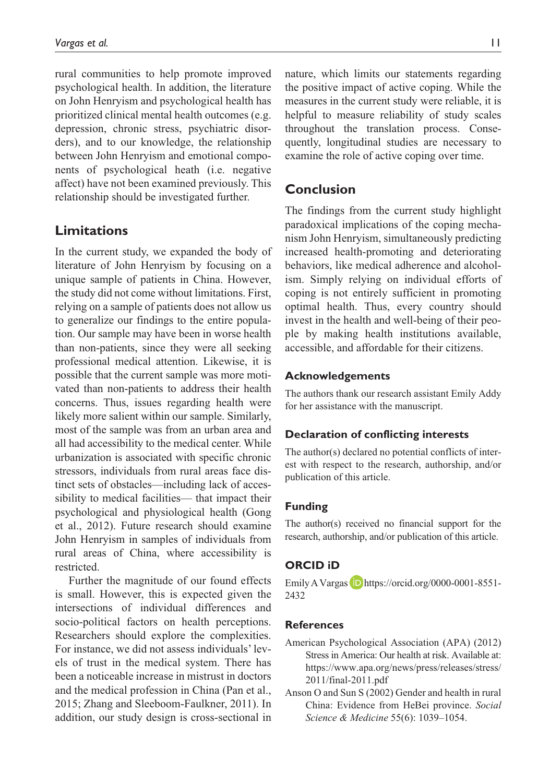rural communities to help promote improved psychological health. In addition, the literature on John Henryism and psychological health has prioritized clinical mental health outcomes (e.g. depression, chronic stress, psychiatric disorders), and to our knowledge, the relationship between John Henryism and emotional components of psychological heath (i.e. negative affect) have not been examined previously. This relationship should be investigated further.

### **Limitations**

In the current study, we expanded the body of literature of John Henryism by focusing on a unique sample of patients in China. However, the study did not come without limitations. First, relying on a sample of patients does not allow us to generalize our findings to the entire population. Our sample may have been in worse health than non-patients, since they were all seeking professional medical attention. Likewise, it is possible that the current sample was more motivated than non-patients to address their health concerns. Thus, issues regarding health were likely more salient within our sample. Similarly, most of the sample was from an urban area and all had accessibility to the medical center. While urbanization is associated with specific chronic stressors, individuals from rural areas face distinct sets of obstacles—including lack of accessibility to medical facilities— that impact their psychological and physiological health (Gong et al., 2012). Future research should examine John Henryism in samples of individuals from rural areas of China, where accessibility is restricted.

Further the magnitude of our found effects is small. However, this is expected given the intersections of individual differences and socio-political factors on health perceptions. Researchers should explore the complexities. For instance, we did not assess individuals' levels of trust in the medical system. There has been a noticeable increase in mistrust in doctors and the medical profession in China (Pan et al., 2015; Zhang and Sleeboom-Faulkner, 2011). In addition, our study design is cross-sectional in

nature, which limits our statements regarding the positive impact of active coping. While the measures in the current study were reliable, it is helpful to measure reliability of study scales throughout the translation process. Consequently, longitudinal studies are necessary to examine the role of active coping over time.

## **Conclusion**

The findings from the current study highlight paradoxical implications of the coping mechanism John Henryism, simultaneously predicting increased health-promoting and deteriorating behaviors, like medical adherence and alcoholism. Simply relying on individual efforts of coping is not entirely sufficient in promoting optimal health. Thus, every country should invest in the health and well-being of their people by making health institutions available, accessible, and affordable for their citizens.

#### **Acknowledgements**

The authors thank our research assistant Emily Addy for her assistance with the manuscript.

### **Declaration of conflicting interests**

The author(s) declared no potential conflicts of interest with respect to the research, authorship, and/or publication of this article.

### **Funding**

The author(s) received no financial support for the research, authorship, and/or publication of this article.

### **ORCID iD**

Emily A Vargas  $\Box$  <https://orcid.org/0000-0001-8551-> 2432

### **References**

- American Psychological Association (APA) (2012) Stress in America: Our health at risk. Available at: [https://www.apa.org/news/press/releases/stress/](https://www.apa.org/news/press/releases/stress/2011/final-2011.pdf) 2011/final-2011.pdf
- Anson O and Sun S (2002) Gender and health in rural China: Evidence from HeBei province. *Social Science & Medicine* 55(6): 1039–1054.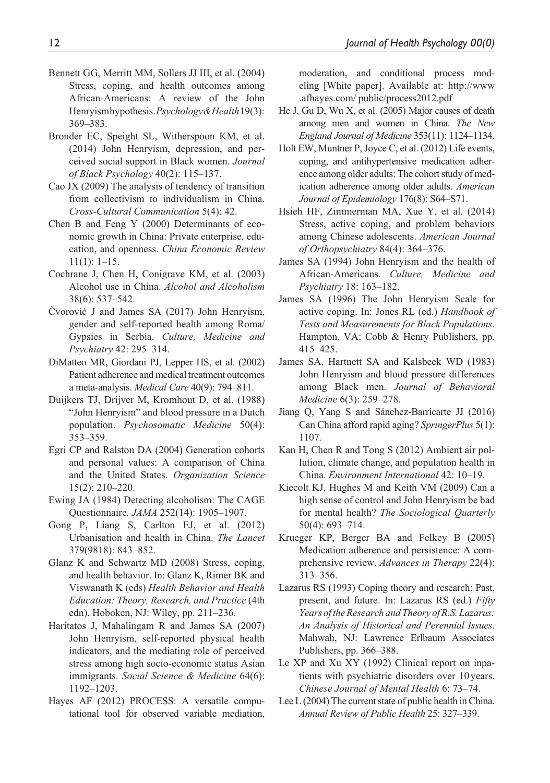- Bennett GG, Merritt MM, Sollers JJ III, et al. (2004) Stress, coping, and health outcomes among African-Americans: A review of the John Henryism hypothesis. *Psychology & Health* 19(3): 369–383.
- Bronder EC, Speight SL, Witherspoon KM, et al. (2014) John Henryism, depression, and perceived social support in Black women. *Journal of Black Psychology* 40(2): 115–137.
- Cao JX (2009) The analysis of tendency of transition from collectivism to individualism in China. *Cross-Cultural Communication* 5(4): 42.
- Chen B and Feng Y (2000) Determinants of economic growth in China: Private enterprise, education, and openness. *China Economic Review* 11(1): 1–15.
- Cochrane J, Chen H, Conigrave KM, et al. (2003) Alcohol use in China. *Alcohol and Alcoholism* 38(6): 537–542.
- Čvorović J and James SA (2017) John Henryism, gender and self-reported health among Roma/ Gypsies in Serbia. *Culture, Medicine and Psychiatry* 42: 295–314.
- DiMatteo MR, Giordani PJ, Lepper HS, et al. (2002) Patient adherence and medical treatment outcomes a meta-analysis. *Medical Care* 40(9): 794–811.
- Duijkers TJ, Drijver M, Kromhout D, et al. (1988) "John Henryism" and blood pressure in a Dutch population. *Psychosomatic Medicine* 50(4): 353–359.
- Egri CP and Ralston DA (2004) Generation cohorts and personal values: A comparison of China and the United States. *Organization Science* 15(2): 210–220.
- Ewing JA (1984) Detecting alcoholism: The CAGE Questionnaire. *JAMA* 252(14): 1905–1907.
- Gong P, Liang S, Carlton EJ, et al. (2012) Urbanisation and health in China. *The Lancet* 379(9818): 843–852.
- Glanz K and Schwartz MD (2008) Stress, coping, and health behavior. In: Glanz K, Rimer BK and Viswanath K (eds) *Health Behavior and Health Education: Theory, Research, and Practice* (4th edn). Hoboken, NJ: Wiley, pp. 211–236.
- Haritatos J, Mahalingam R and James SA (2007) John Henryism, self-reported physical health indicators, and the mediating role of perceived stress among high socio-economic status Asian immigrants. *Social Science & Medicine* 64(6): 1192–1203.
- Hayes AF (2012) PROCESS: A versatile computational tool for observed variable mediation,

moderation, and conditional process modeling [White paper]. Available at: [http://www](http://www.afhayes.com/ public/process2012.pdf) [.afhayes.com/ public/process2012.pdf](http://www.afhayes.com/ public/process2012.pdf)

- He J, Gu D, Wu X, et al. (2005) Major causes of death among men and women in China. *The New England Journal of Medicine* 353(11): 1124–1134.
- Holt EW, Muntner P, Joyce C, et al. (2012) Life events, coping, and antihypertensive medication adherence among older adults: The cohort study of medication adherence among older adults. *American Journal of Epidemiology* 176(8): S64–S71.
- Hsieh HF, Zimmerman MA, Xue Y, et al. (2014) Stress, active coping, and problem behaviors among Chinese adolescents. *American Journal of Orthopsychiatry* 84(4): 364–376.
- James SA (1994) John Henryism and the health of African-Americans. *Culture, Medicine and Psychiatry* 18: 163–182.
- James SA (1996) The John Henryism Scale for active coping. In: Jones RL (ed.) *Handbook of Tests and Measurements for Black Populations*. Hampton, VA: Cobb & Henry Publishers, pp. 415–425.
- James SA, Hartnett SA and Kalsbeek WD (1983) John Henryism and blood pressure differences among Black men. *Journal of Behavioral Medicine* 6(3): 259–278.
- Jiang Q, Yang S and Sánchez-Barricarte JJ (2016) Can China afford rapid aging? *SpringerPlus* 5(1): 1107.
- Kan H, Chen R and Tong S (2012) Ambient air pollution, climate change, and population health in China. *Environment International* 42: 10–19.
- Kiecolt KJ, Hughes M and Keith VM (2009) Can a high sense of control and John Henryism be bad for mental health? *The Sociological Quarterly* 50(4): 693–714.
- Krueger KP, Berger BA and Felkey B (2005) Medication adherence and persistence: A comprehensive review. *Advances in Therapy* 22(4): 313–356.
- Lazarus RS (1993) Coping theory and research: Past, present, and future. In: Lazarus RS (ed.) *Fifty Years of the Research and Theory of R.S. Lazarus: An Analysis of Historical and Perennial Issues*. Mahwah, NJ: Lawrence Erlbaum Associates Publishers, pp. 366–388.
- Le XP and Xu XY (1992) Clinical report on inpatients with psychiatric disorders over 10 years. *Chinese Journal of Mental Health* 6: 73–74.
- Lee L (2004) The current state of public health in China. *Annual Review of Public Health* 25: 327–339.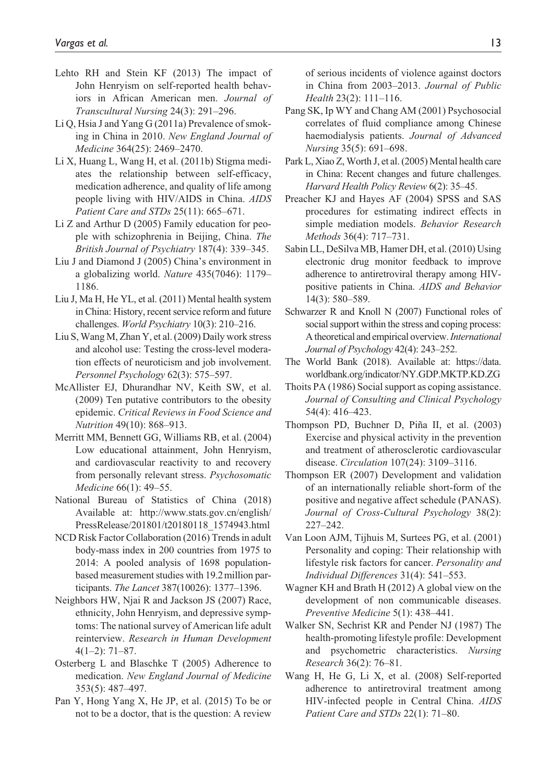- Lehto RH and Stein KF (2013) The impact of John Henryism on self-reported health behaviors in African American men. *Journal of Transcultural Nursing* 24(3): 291–296.
- Li Q, Hsia J and Yang G (2011a) Prevalence of smoking in China in 2010. *New England Journal of Medicine* 364(25): 2469–2470.
- Li X, Huang L, Wang H, et al. (2011b) Stigma mediates the relationship between self-efficacy, medication adherence, and quality of life among people living with HIV/AIDS in China. *AIDS Patient Care and STDs* 25(11): 665–671.
- Li Z and Arthur D (2005) Family education for people with schizophrenia in Beijing, China. *The British Journal of Psychiatry* 187(4): 339–345.
- Liu J and Diamond J (2005) China's environment in a globalizing world. *Nature* 435(7046): 1179– 1186.
- Liu J, Ma H, He YL, et al. (2011) Mental health system in China: History, recent service reform and future challenges. *World Psychiatry* 10(3): 210–216.
- Liu S, Wang M, Zhan Y, et al. (2009) Daily work stress and alcohol use: Testing the cross-level moderation effects of neuroticism and job involvement. *Personnel Psychology* 62(3): 575–597.
- McAllister EJ, Dhurandhar NV, Keith SW, et al. (2009) Ten putative contributors to the obesity epidemic. *Critical Reviews in Food Science and Nutrition* 49(10): 868–913.
- Merritt MM, Bennett GG, Williams RB, et al. (2004) Low educational attainment, John Henryism, and cardiovascular reactivity to and recovery from personally relevant stress. *Psychosomatic Medicine* 66(1): 49–55.
- National Bureau of Statistics of China (2018) Available at: [http://www.stats.gov.cn/english/](http://www.stats.gov.cn/english/PressRelease/201801/t20180118_1574943.html) [PressRelease/201801/t20180118\\_1574943.html](http://www.stats.gov.cn/english/PressRelease/201801/t20180118_1574943.html)
- NCD Risk Factor Collaboration (2016) Trends in adult body-mass index in 200 countries from 1975 to 2014: A pooled analysis of 1698 populationbased measurement studies with 19.2million participants. *The Lancet* 387(10026): 1377–1396.
- Neighbors HW, Njai R and Jackson JS (2007) Race, ethnicity, John Henryism, and depressive symptoms: The national survey of American life adult reinterview. *Research in Human Development* 4(1–2): 71–87.
- Osterberg L and Blaschke T (2005) Adherence to medication. *New England Journal of Medicine* 353(5): 487–497.
- Pan Y, Hong Yang X, He JP, et al. (2015) To be or not to be a doctor, that is the question: A review

of serious incidents of violence against doctors in China from 2003–2013. *Journal of Public Health* 23(2): 111–116.

- Pang SK, Ip WY and Chang AM (2001) Psychosocial correlates of fluid compliance among Chinese haemodialysis patients. *Journal of Advanced Nursing* 35(5): 691–698.
- Park L, Xiao Z, Worth J, et al. (2005) Mental health care in China: Recent changes and future challenges. *Harvard Health Policy Review* 6(2): 35–45.
- Preacher KJ and Hayes AF (2004) SPSS and SAS procedures for estimating indirect effects in simple mediation models. *Behavior Research Methods* 36(4): 717–731.
- Sabin LL, DeSilva MB, Hamer DH, et al. (2010) Using electronic drug monitor feedback to improve adherence to antiretroviral therapy among HIVpositive patients in China. *AIDS and Behavior* 14(3): 580–589.
- Schwarzer R and Knoll N (2007) Functional roles of social support within the stress and coping process: A theoretical and empirical overview. *International Journal of Psychology* 42(4): 243–252.
- The World Bank (2018). Available at: [https://data.](https://data.worldbank.org/indicator/NY.GDP.MKTP.KD.ZG) [worldbank.org/indicator/NY.GDP.MKTP.KD.ZG](https://data.worldbank.org/indicator/NY.GDP.MKTP.KD.ZG)
- Thoits PA (1986) Social support as coping assistance. *Journal of Consulting and Clinical Psychology* 54(4): 416–423.
- Thompson PD, Buchner D, Piña II, et al. (2003) Exercise and physical activity in the prevention and treatment of atherosclerotic cardiovascular disease. *Circulation* 107(24): 3109–3116.
- Thompson ER (2007) Development and validation of an internationally reliable short-form of the positive and negative affect schedule (PANAS). *Journal of Cross-Cultural Psychology* 38(2): 227–242.
- Van Loon AJM, Tijhuis M, Surtees PG, et al. (2001) Personality and coping: Their relationship with lifestyle risk factors for cancer. *Personality and Individual Differences* 31(4): 541–553.
- Wagner KH and Brath H (2012) A global view on the development of non communicable diseases. *Preventive Medicine* 5(1): 438–441.
- Walker SN, Sechrist KR and Pender NJ (1987) The health-promoting lifestyle profile: Development and psychometric characteristics. *Nursing Research* 36(2): 76–81.
- Wang H, He G, Li X, et al. (2008) Self-reported adherence to antiretroviral treatment among HIV-infected people in Central China. *AIDS Patient Care and STDs* 22(1): 71–80.